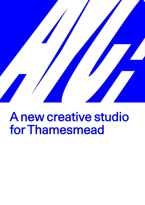

# A new creative studio for Thamesmead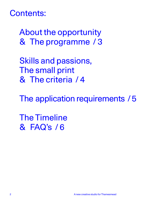# Contents:

 About the opportunity & The programme / 3

 Skills and passions, The small print & The criteria / 4

The application requirements / 5

 The Timeline & FAQ's / 6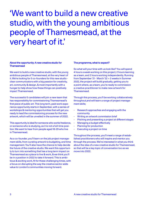# 'We want to build a new creative studio, with the young ambitious people of Thamesmead, at the very heart of it.'

#### About the opportunity: A new creative studio for **Thamesmead**

We want to build a new creative studio, with the young ambitious people of Thamesmead, at the very heart of it. We're looking for 5 co-founders for this new studio clear communicators with a big passion for creativity, art, community & design, & most importantly with a hunger to help show how these things can positively impact Thamesmead.

The successful 5 candidates will join a new team that has responsibility for commissioning Thamesmead's first piece of public art. This long term, paid work experience opportunity starts in September, with a series of workshops & mentoring opportunities that will get you ready to lead the commissioning process for the new artwork, which will be unveiled in the summer of 2022.

This opportunity is ideal for someone who works freelance, or someone who is studying, as it is not a full-time position. We want to hear from people aged 18-29 who live in Thamesmead.

As a co-founder, you'll learn on the job project management skills, from curating artwork to budgeting, and time management. You'll also have the chance to help decide the future of the creative studio. We want this opportunity to turn into something that has a long term impact on Thamesmead as a place to live & work, & we think you'll be in a position in 2022 to take it forward. This is ambitious & exciting work, fit for these challenging times, with a focus on disrupting the way the creative sector adds value to London's communities moving forward.

#### The programme, what to expect?

So what will your time with us look like? You will spend 4 hours a week working on this project; 2 hours learning as a team, and 2 hours working independently. Running from September '21 - March '22 + 2 weeks in Summer 2022, the project will build gradually, getting you to a point where, as a team, you're ready to commission a creative practitioner to make new artwork for Thamesmead.

Through this process, you'll be working collaboratively throughout,and will learn a range of project management skills;

- Research approaches and engaging with the community
- Writing an artwork commission brief
- Pitching and presenting a project at different stages
- Managing a budget effectively
- Planning for production
- Executing a project on time

Throughout the process, you'll meet a range of established practitioners who will inspire and mentor you through the process. We're interested in what you think about the idea of a new creative studio for Thamesmead, so that will be a key topic of conversation too as we move into 2022.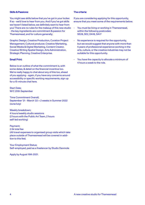# Skills & Passions:

You might see skills below that you've got in your locker. If so - we'd love to hear from you. And if you've got skills we haven't listed below, we definitely want to hear from you! There are no rules for the makeup of this new studio - the key ingredients are commitment & passion for Thamesmead, and for culture generally;

Graphic Design, Creative Production, Curation Project Management, Cultural producer, Creative Marketing, Social Media & Digital Marketing, Content Creator, Creative Writing Spatial Design, Arts Administration, Strategic Planning, Creative Enterprise.

#### Small Print:

Below is an outline of what the commitment is, with some dates, & detail on the financial incentive too. We're really happy to chat about any of this too, ahead of you applying - again, if you have any concerns around accessibility or specific working requirements, sign up for a 15-minute chat here.

Start Date; W/C 20th September

Time Commitment Overall; September '21 - March '22 + 2 weeks in Summer 2022 (June/July)

Weekly breakdown; 4 hours/weekly studio sessions (2 hours with the Public Art Team, 2 hours self-led working)

Payment; 2.5k total fee (All travel expenses to organised group visits which take place outside of Thamesmead will be covered in addition to this fee).

Your Employment Status; Self-employed, paid as a freelancer by Studio Danmole

Apply by August 19th 2021.

# The criteria:

If you are considering applying for this opportunity, ensure that you meet some of the requirements below.

- You must be living or working in Thamesmead, within the following postcodes: SE28, SE2, DA18, DA17
- No experience is required for the opportunity, but we would suggest that anyone with more than 5 years of professional experience working in the arts, culture, or the creative industries may not be suitable for this opportunity.
- You have the capacity to allocate a minimum of 4 hours a week to the role.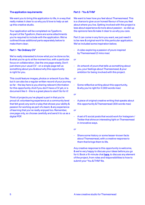## The application requirements:

We want you to bring this application to life, in a way that really makes it clear to us why you'd love to help us set up this creative studio.

Your application will be completed via Typeform. As part of the Typeform, there are some attachments you're required to include with the application. We've outlined those additional parts separately below to make them clear;

# Part 1 - 'No Ordinary CV'

We're really interested to know what you've done so far, & what you're up to at the moment too, with a particular focus on collaboration. Use the one page wisely. Don't just share your usual CV - on a single page tell us something about you & about why this opportunity is right for you.

This could feature images, photos or artwork if you like, but it can also be a regular written record of your journey so far - the key here is you sharing relevant information for this opportunity. And if you don't have a CV yet, or a document like it - this is a great place to start! Go for it!

Think of projects you've played a part in that you're proud of; volunteering experience at a community level that felt good; any work or play that shows your ability & passion for working as part of a team; & any experience of learning that you've really enjoyed too. Remember, one page only, so choose carefully and send it to us as a digital PDF.

# Part 2 - 'You & THM'

We want to hear how you feel about Thamesmead. This is a chance to give us an honest flavour of how you feel about where you live. Getting involved with this project is less about experience & more about passion - so dial up the opinions here & make it clear to us why you care.

Part 2 can come in any form you want, we just need it to be new & original work for this particular application. We've included some inspiration below;

- A video exploring a passion of yours inspired by Thamesmead (2 mins max)
- *or*
- An artwork of yours that tells us something about you, your feelings about Thamesmead, & your ambition for being involved with this project.

*or*

- Some reflective writing about this opportunity, & why you're right for it (300 words max)

*or*

- A piece of original creative writing that speaks about this opportunity & Thamesmead (300 words max)

*or*

- A set of 5 social posts that would work for Instagram / Twitter that shine an interesting light on Thamesmead in innovative ways.

*or*

- Share some history or some lesser-known facts about Thamesmead, with a creative response to them that brings them to life.

Any creative response to this opportunity is welcome, & we're very happy to discuss your ideas before you go for it. Book a 15-minute chat [here](http://calendly.com/tmsouthmere), to discuss any element of the project, from roles and responsibilities to how to submit your 'You & THM' file.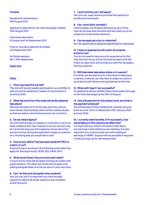# **Timeline**

Deadline for submissions: 19th August 2021

Applicant's selected for the interview stage notified: 25th August 2021

Interviews take place: 31 August and 1st September 2021

Final co-founders selected & notified: 3rd September 2021

1st Studio session: WC / 20th September

# [Apply now](https://qltl55r07bn.typeform.com/to/tlSwRvmM)

# FAQ's

## 1. How long does this Job last?

The role will require weekly participation up until March, with around an additional 2 weeks of commitment in June/July 2022.

# 2. What day and time of the week will studio sessions take place?

We have decided not to fix this day and time until we have chosen the founding cohort of the creative studio, so that we select a time that everyone can commit to.

## 3. Do we need a laptop?

You will need access to a laptop or computer to carry out tasks related to this role, however, if you do not own one, do not let this stop you from applying. All we ask is that you let us know during the application stage on question 14 in 'Anything else you would like to add'.

# 4. How do you define Thamesmead residents? Who is ruled in or out?

Anyone living or working in the following postcodes may apply for this opportunity: SE28, SE2, DA18, DA17.

## 5. What would those 4 hours involve each week?

2 hours of your time will be spent working as a team with guest mentors. The other two hours will be spent completing assigned tasks and can be done in your own time.

## 6. Can I do this work alongside other projects?

Yes, you can, but it is important you have enough capacity to attend all studio sessions and complete all self-led work.

## 7. I work full time, can I still apply?

Yes, you can, again ensure you have the capacity to handle both workloads.

#### 8. Can I work 100% remotely?

Unfortunately, not all tasks delivered as part of this role can be executed remotely and will need you to be present for some studio sessions.

#### 9. Can we apply as a duo or collective?

No, this opportunity is designed specifically for individuals.

# 10. I have no experience with public art projects. Is this for me?

You do not need to have any prior experience for this role, the main focus of your time will be spent with the Public art team who will provide you with the necessary training required.

## 11. Will interviews take place online or in-person?

Currently, we are planning for interviews to take place in person, however, we may have to adapt our plans in accordance with Government guidelines at the time.

#### 12. When will I hear if I am successful?

All applicants will be notified if they have made it through to the interview stage by the 25th of August.

### 14. How will payment for this project work, and what is the payment schedule?

You will be paid in three instalments, directly into your bank account. Once in September 2021, January 2022 and July 2022.

# 15. I currently claim benefits. If I'm successful, how would taking on this opportunity affect this?

It is important you inform Universal Credit about any earnings made whilst you are claiming. It is also important you communicate your self-employed earnings to HMRC. Support will be provided if required to help you sign up for self assessment.